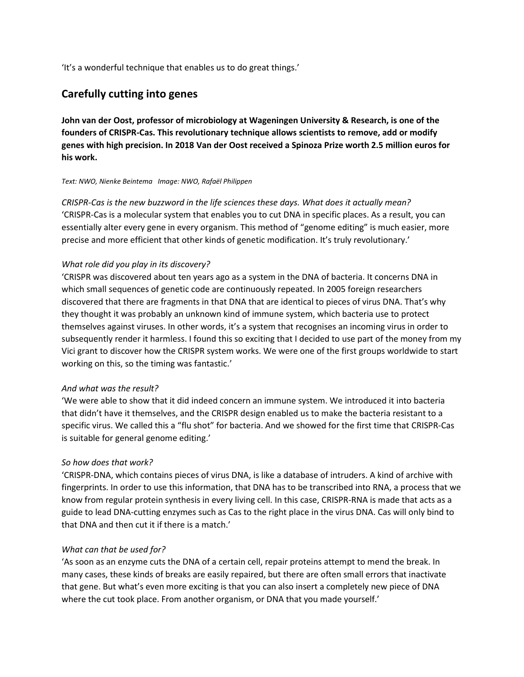'It's a wonderful technique that enables us to do great things.'

# **Carefully cutting into genes**

**John van der Oost, professor of microbiology at Wageningen University & Research, is one of the founders of CRISPR-Cas. This revolutionary technique allows scientists to remove, add or modify genes with high precision. In 2018 Van der Oost received a Spinoza Prize worth 2.5 million euros for his work.**

#### *Text: NWO, Nienke Beintema Image: NWO, Rafaël Philippen*

*CRISPR-Cas is the new buzzword in the life sciences these days. What does it actually mean?* 'CRISPR-Cas is a molecular system that enables you to cut DNA in specific places. As a result, you can essentially alter every gene in every organism. This method of "genome editing" is much easier, more precise and more efficient that other kinds of genetic modification. It's truly revolutionary.'

#### *What role did you play in its discovery?*

'CRISPR was discovered about ten years ago as a system in the DNA of bacteria. It concerns DNA in which small sequences of genetic code are continuously repeated. In 2005 foreign researchers discovered that there are fragments in that DNA that are identical to pieces of virus DNA. That's why they thought it was probably an unknown kind of immune system, which bacteria use to protect themselves against viruses. In other words, it's a system that recognises an incoming virus in order to subsequently render it harmless. I found this so exciting that I decided to use part of the money from my Vici grant to discover how the CRISPR system works. We were one of the first groups worldwide to start working on this, so the timing was fantastic.'

#### *And what was the result?*

'We were able to show that it did indeed concern an immune system. We introduced it into bacteria that didn't have it themselves, and the CRISPR design enabled us to make the bacteria resistant to a specific virus. We called this a "flu shot" for bacteria. And we showed for the first time that CRISPR-Cas is suitable for general genome editing.'

## *So how does that work?*

'CRISPR-DNA, which contains pieces of virus DNA, is like a database of intruders. A kind of archive with fingerprints. In order to use this information, that DNA has to be transcribed into RNA, a process that we know from regular protein synthesis in every living cell. In this case, CRISPR-RNA is made that acts as a guide to lead DNA-cutting enzymes such as Cas to the right place in the virus DNA. Cas will only bind to that DNA and then cut it if there is a match.'

## *What can that be used for?*

'As soon as an enzyme cuts the DNA of a certain cell, repair proteins attempt to mend the break. In many cases, these kinds of breaks are easily repaired, but there are often small errors that inactivate that gene. But what's even more exciting is that you can also insert a completely new piece of DNA where the cut took place. From another organism, or DNA that you made yourself.'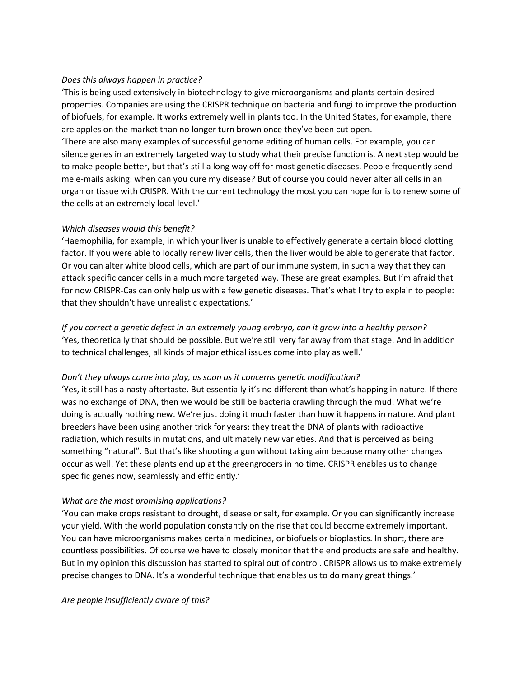## *Does this always happen in practice?*

'This is being used extensively in biotechnology to give microorganisms and plants certain desired properties. Companies are using the CRISPR technique on bacteria and fungi to improve the production of biofuels, for example. It works extremely well in plants too. In the United States, for example, there are apples on the market than no longer turn brown once they've been cut open.

'There are also many examples of successful genome editing of human cells. For example, you can silence genes in an extremely targeted way to study what their precise function is. A next step would be to make people better, but that's still a long way off for most genetic diseases. People frequently send me e-mails asking: when can you cure my disease? But of course you could never alter all cells in an organ or tissue with CRISPR. With the current technology the most you can hope for is to renew some of the cells at an extremely local level.'

#### *Which diseases would this benefit?*

'Haemophilia, for example, in which your liver is unable to effectively generate a certain blood clotting factor. If you were able to locally renew liver cells, then the liver would be able to generate that factor. Or you can alter white blood cells, which are part of our immune system, in such a way that they can attack specific cancer cells in a much more targeted way. These are great examples. But I'm afraid that for now CRISPR-Cas can only help us with a few genetic diseases. That's what I try to explain to people: that they shouldn't have unrealistic expectations.'

*If you correct a genetic defect in an extremely young embryo, can it grow into a healthy person?*  'Yes, theoretically that should be possible. But we're still very far away from that stage. And in addition to technical challenges, all kinds of major ethical issues come into play as well.'

#### *Don't they always come into play, as soon as it concerns genetic modification?*

'Yes, it still has a nasty aftertaste. But essentially it's no different than what's happing in nature. If there was no exchange of DNA, then we would be still be bacteria crawling through the mud. What we're doing is actually nothing new. We're just doing it much faster than how it happens in nature. And plant breeders have been using another trick for years: they treat the DNA of plants with radioactive radiation, which results in mutations, and ultimately new varieties. And that is perceived as being something "natural". But that's like shooting a gun without taking aim because many other changes occur as well. Yet these plants end up at the greengrocers in no time. CRISPR enables us to change specific genes now, seamlessly and efficiently.'

## *What are the most promising applications?*

'You can make crops resistant to drought, disease or salt, for example. Or you can significantly increase your yield. With the world population constantly on the rise that could become extremely important. You can have microorganisms makes certain medicines, or biofuels or bioplastics. In short, there are countless possibilities. Of course we have to closely monitor that the end products are safe and healthy. But in my opinion this discussion has started to spiral out of control. CRISPR allows us to make extremely precise changes to DNA. It's a wonderful technique that enables us to do many great things.'

*Are people insufficiently aware of this?*